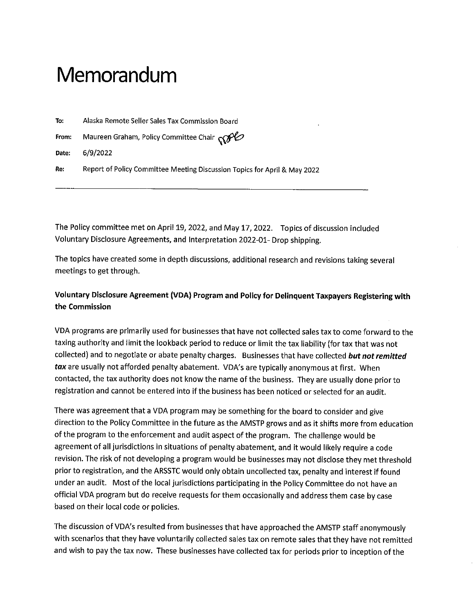# Memorandum

To: Alaska Remote Seller Sales Tax Commission Board

Maureen Graham, Policy Committee Chair COPL From:

6/9/2022 Date:

Re: Report of Policy Committee Meeting Discussion Topics for April & May 2022

The Policy committee met on April 19, 2022, and May 17, 2022. Topics of discussion included Voluntary Disclosure Agreements, and Interpretation 2022-01- Drop shipping.

The topics have created some in depth discussions, additional research and revisions taking several meetings to get through.

#### Voluntary Disclosure Agreement (VDA) Program and Policy for Delinquent Taxpayers Registering with the Commission

VDA programs are primarily used for businesses that have not collected sales tax to come forward to the taxing authority and limit the lookback period to reduce or limit the tax liability (for tax that was not collected) and to negotiate or abate penalty charges. Businesses that have collected but not remitted tax are usually not afforded penalty abatement. VDA's are typically anonymous at first. When contacted, the tax authority does not know the name of the business. They are usually done prior to registration and cannot be entered into if the business has been noticed or selected for an audit.

There was agreement that a VDA program may be something for the board to consider and give direction to the Policy Committee in the future as the AMSTP grows and as it shifts more from education of the program to the enforcement and audit aspect of the program. The challenge would be agreement of all jurisdictions in situations of penalty abatement, and it would likely require a code revision. The risk of not developing a program would be businesses may not disclose they met threshold prior to registration, and the ARSSTC would only obtain uncollected tax, penalty and interest if found under an audit. Most of the local jurisdictions participating in the Policy Committee do not have an official VDA program but do receive requests for them occasionally and address them case by case based on their local code or policies.

The discussion of VDA's resulted from businesses that have approached the AMSTP staff anonymously with scenarios that they have voluntarily collected sales tax on remote sales that they have not remitted and wish to pay the tax now. These businesses have collected tax for periods prior to inception of the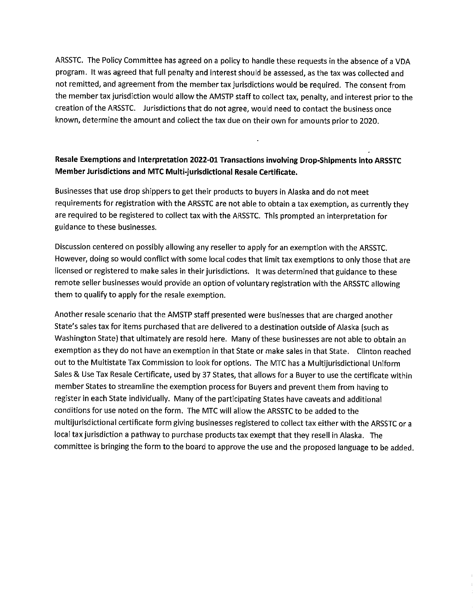ARSSTC. The Policy Committee has agreed on a policy to handle these requests in the absence of a VDA program. It was agreed that full penalty and interest should be assessed, as the tax was collected and not remitted, and agreement from the member tax jurisdictions would be required. The consent from the member tax jurisdiction would allow the AMSTP staff to collect tax, penalty, and interest prior to the creation of the ARSSTC. Jurisdictions that do not agree, would need to contact the business once known, determine the amount and collect the tax due on their own for amounts prior to 2020.

#### Resale Exemptions and Interpretation 2022-01 Transactions involving Drop-Shipments into ARSSTC Member Jurisdictions and MTC Multi-jurisdictional Resale Certificate.

Businesses that use drop shippers to get their products to buyers in Alaska and do not meet requirements for registration with the ARSSTC are not able to obtain a tax exemption, as currently they are required to be registered to collect tax with the ARSSTC. This prompted an interpretation for guidance to these businesses.

Discussion centered on possibly allowing any reseller to apply for an exemption with the ARSSTC. However, doing so would conflict with some local codes that limit tax exemptions to only those that are licensed or registered to make sales in their jurisdictions. It was determined that guidance to these remote seller businesses would provide an option of voluntary registration with the ARSSTC allowing them to qualify to apply for the resale exemption.

Another resale scenario that the AMSTP staff presented were businesses that are charged another State's sales tax for items purchased that are delivered to a destination outside of Alaska (such as Washington State) that ultimately are resold here. Many of these businesses are not able to obtain an exemption as they do not have an exemption in that State or make sales in that State. Clinton reached out to the Multistate Tax Commission to look for options. The MTC has a Multijurisdictional Uniform Sales & Use Tax Resale Certificate, used by 37 States, that allows for a Buyer to use the certificate within member States to streamline the exemption process for Buyers and prevent them from having to register in each State individually. Many of the participating States have caveats and additional conditions for use noted on the form. The MTC will allow the ARSSTC to be added to the multijurisdictional certificate form giving businesses registered to collect tax either with the ARSSTC or a local tax jurisdiction a pathway to purchase products tax exempt that they resell in Alaska. The committee is bringing the form to the board to approve the use and the proposed language to be added.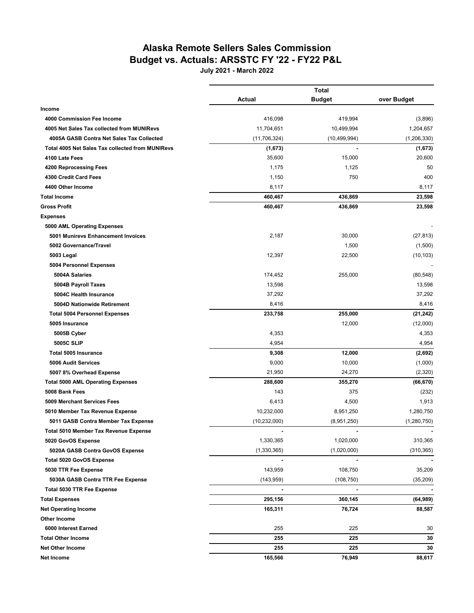### **Alaska Remote Sellers Sales Commission Budget vs. Actuals: ARSSTC FY '22 - FY22 P&L**

**July 2021 - March 2022**

|                                                         | <b>Total</b>   |                |               |
|---------------------------------------------------------|----------------|----------------|---------------|
|                                                         | Actual         | <b>Budget</b>  | over Budget   |
| Income                                                  |                |                |               |
| 4000 Commission Fee Income                              | 416,098        | 419,994        | (3,896)       |
| 4005 Net Sales Tax collected from MUNIRevs              | 11,704,651     | 10,499,994     | 1,204,657     |
| 4005A GASB Contra Net Sales Tax Collected               | (11, 706, 324) | (10, 499, 994) | (1, 206, 330) |
| <b>Total 4005 Net Sales Tax collected from MUNIRevs</b> | (1,673)        |                | (1,673)       |
| 4100 Late Fees                                          | 35,600         | 15,000         | 20,600        |
| 4200 Reprocessing Fees                                  | 1,175          | 1,125          | 50            |
| 4300 Credit Card Fees                                   | 1,150          | 750            | 400           |
| 4400 Other Income                                       | 8,117          |                | 8,117         |
| <b>Total Income</b>                                     | 460,467        | 436,869        | 23,598        |
| <b>Gross Profit</b>                                     | 460,467        | 436,869        | 23,598        |
| <b>Expenses</b>                                         |                |                |               |
| 5000 AML Operating Expenses                             |                |                |               |
| 5001 Munirevs Enhancement Invoices                      | 2,187          | 30,000         | (27, 813)     |
| 5002 Governance/Travel                                  |                | 1,500          | (1,500)       |
| 5003 Legal                                              | 12,397         | 22,500         | (10, 103)     |
| 5004 Personnel Expenses                                 |                |                |               |
| 5004A Salaries                                          | 174,452        | 255,000        | (80, 548)     |
| 5004B Payroll Taxes                                     | 13,598         |                | 13,598        |
| 5004C Health Insurance                                  | 37,292         |                | 37,292        |
| 5004D Nationwide Retirement                             | 8,416          |                | 8,416         |
| <b>Total 5004 Personnel Expenses</b>                    | 233,758        | 255,000        | (21, 242)     |
| 5005 Insurance                                          |                | 12,000         | (12,000)      |
| 5005B Cyber                                             | 4,353          |                | 4,353         |
| <b>5005C SLIP</b>                                       | 4,954          |                | 4,954         |
| Total 5005 Insurance                                    | 9,308          | 12,000         | (2,692)       |
| 5006 Audit Services                                     | 9,000          | 10,000         | (1,000)       |
| 5007 8% Overhead Expense                                | 21,950         | 24,270         | (2,320)       |
| <b>Total 5000 AML Operating Expenses</b>                | 288,600        | 355,270        | (66, 670)     |
| 5008 Bank Fees                                          | 143            | 375            | (232)         |
| 5009 Merchant Services Fees                             | 6,413          | 4,500          | 1,913         |
| 5010 Member Tax Revenue Expense                         | 10,232,000     | 8,951,250      | 1,280,750     |
| 5011 GASB Contra Member Tax Expense                     | (10, 232, 000) | (8,951,250)    | (1,280,750)   |
| <b>Total 5010 Member Tax Revenue Expense</b>            | ÷,             | $\blacksquare$ |               |
| 5020 GovOS Expense                                      | 1,330,365      | 1,020,000      | 310,365       |
| 5020A GASB Contra GovOS Expense                         | (1,330,365)    | (1,020,000)    | (310, 365)    |
| <b>Total 5020 GovOS Expense</b>                         |                |                |               |
| 5030 TTR Fee Expense                                    | 143,959        | 108,750        | 35,209        |
| 5030A GASB Contra TTR Fee Expense                       | (143, 959)     | (108, 750)     | (35, 209)     |
| Total 5030 TTR Fee Expense                              |                |                |               |
| <b>Total Expenses</b>                                   | 295,156        | 360,145        | (64, 989)     |
| <b>Net Operating Income</b>                             | 165,311        | 76,724         | 88,587        |
| Other Income                                            |                |                |               |
| 6000 Interest Earned                                    | 255            | 225            | 30            |
| <b>Total Other Income</b>                               | 255            | 225            | 30            |
| <b>Net Other Income</b>                                 | 255            | 225            | 30            |
| Net Income                                              | 165,566        | 76,949         | 88,617        |
|                                                         |                |                |               |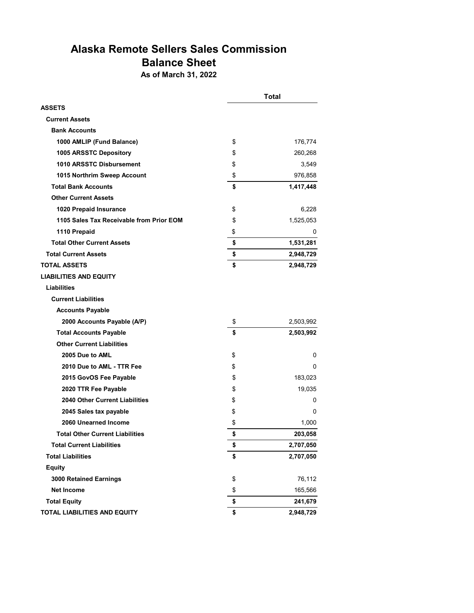# **Alaska Remote Sellers Sales Commission Balance Sheet**

**As of March 31, 2022**

|                                          | Total |           |
|------------------------------------------|-------|-----------|
| <b>ASSETS</b>                            |       |           |
| <b>Current Assets</b>                    |       |           |
| <b>Bank Accounts</b>                     |       |           |
| 1000 AMLIP (Fund Balance)                | \$    | 176,774   |
| 1005 ARSSTC Depository                   | \$    | 260,268   |
| 1010 ARSSTC Disbursement                 | \$    | 3,549     |
| 1015 Northrim Sweep Account              | \$    | 976,858   |
| <b>Total Bank Accounts</b>               | \$    | 1,417,448 |
| <b>Other Current Assets</b>              |       |           |
| 1020 Prepaid Insurance                   | \$    | 6,228     |
| 1105 Sales Tax Receivable from Prior EOM | \$    | 1,525,053 |
| 1110 Prepaid                             | \$    | 0         |
| <b>Total Other Current Assets</b>        | \$    | 1,531,281 |
| <b>Total Current Assets</b>              | \$    | 2,948,729 |
| <b>TOTAL ASSETS</b>                      | \$    | 2,948,729 |
| <b>LIABILITIES AND EQUITY</b>            |       |           |
| <b>Liabilities</b>                       |       |           |
| <b>Current Liabilities</b>               |       |           |
| <b>Accounts Payable</b>                  |       |           |
| 2000 Accounts Payable (A/P)              | \$    | 2,503,992 |
| <b>Total Accounts Payable</b>            | \$    | 2,503,992 |
| <b>Other Current Liabilities</b>         |       |           |
| 2005 Due to AML                          | \$    | 0         |
| 2010 Due to AML - TTR Fee                | \$    | $\Omega$  |
| 2015 GovOS Fee Payable                   | \$    | 183,023   |
| 2020 TTR Fee Payable                     | \$    | 19,035    |
| 2040 Other Current Liabilities           | \$    | 0         |
| 2045 Sales tax payable                   | \$    | 0         |
| 2060 Unearned Income                     | \$    | 1,000     |
| <b>Total Other Current Liabilities</b>   | \$    | 203,058   |
| <b>Total Current Liabilities</b>         | \$    | 2,707,050 |
| <b>Total Liabilities</b>                 | \$    | 2,707,050 |
| <b>Equity</b>                            |       |           |
| 3000 Retained Earnings                   | \$    | 76,112    |
| <b>Net Income</b>                        | \$    | 165,566   |
| <b>Total Equity</b>                      | \$    | 241,679   |
| TOTAL LIABILITIES AND EQUITY             | \$    | 2,948,729 |